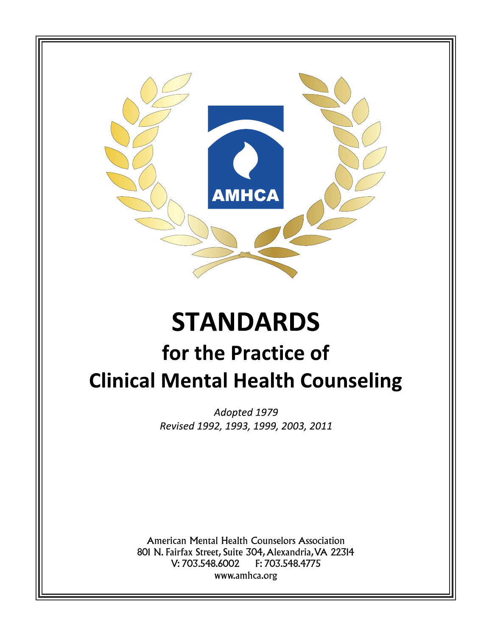

# **STANDARDS**

# for the Practice of **Clinical Mental Health Counseling**

Adopted 1979 Revised 1992, 1993, 1999, 2003, 2011

American Mental Health Counselors Association 801 N. Fairfax Street, Suite 304, Alexandria, VA 22314 V: 703.548.6002 F: 703.548.4775 www.amhca.org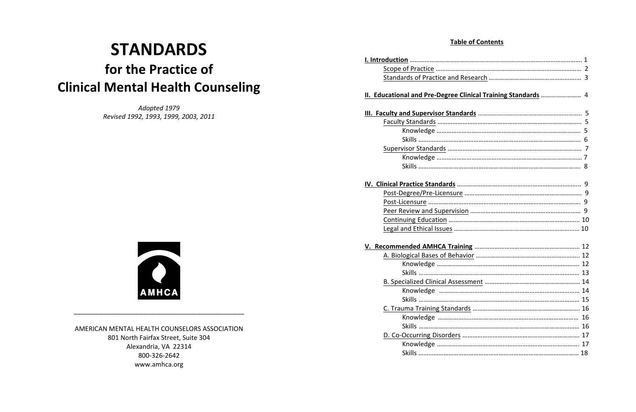# **STANDARDS** for the Practice of **Clinical Mental Health Counseling**

*Adopted 
 1979 Revised 
 1992, 
 1993, 
 1999, 
 2003, 
 2011*



\_\_\_\_\_\_\_\_\_\_\_\_\_\_\_\_\_\_\_\_\_\_\_\_\_\_\_\_\_\_\_\_\_\_\_\_\_\_\_\_\_\_\_\_\_\_\_

AMERICAN MENTAL HEALTH COUNSELORS ASSOCIATION 801 North Fairfax Street, Suite 304 Alexandria, VA 22314 800-326-2642 www.amhca.org

| II. Educational and Pre-Degree Clinical Training Standards  4 |  |
|---------------------------------------------------------------|--|
|                                                               |  |
|                                                               |  |
|                                                               |  |
|                                                               |  |
|                                                               |  |
|                                                               |  |
|                                                               |  |
|                                                               |  |
|                                                               |  |
|                                                               |  |
|                                                               |  |
|                                                               |  |
|                                                               |  |
|                                                               |  |
|                                                               |  |
|                                                               |  |
|                                                               |  |
|                                                               |  |
|                                                               |  |
|                                                               |  |
| <b>Skills</b>                                                 |  |
|                                                               |  |
|                                                               |  |
|                                                               |  |
|                                                               |  |
|                                                               |  |
|                                                               |  |
|                                                               |  |

| ucational and Pre-Degree Clinical Training Standards  4 |  |
|---------------------------------------------------------|--|
|                                                         |  |
|                                                         |  |
|                                                         |  |
|                                                         |  |
|                                                         |  |
|                                                         |  |
|                                                         |  |
|                                                         |  |
|                                                         |  |
|                                                         |  |
|                                                         |  |
|                                                         |  |
|                                                         |  |
|                                                         |  |
|                                                         |  |
|                                                         |  |
|                                                         |  |
|                                                         |  |
|                                                         |  |
|                                                         |  |
|                                                         |  |
| Skills                                                  |  |
|                                                         |  |
|                                                         |  |
| <b>Skills</b>                                           |  |
|                                                         |  |
|                                                         |  |
|                                                         |  |
|                                                         |  |

| lucational and Pre-Degree Clinical Training Standards  4 |  |
|----------------------------------------------------------|--|
|                                                          |  |
|                                                          |  |
|                                                          |  |
|                                                          |  |
|                                                          |  |
|                                                          |  |
|                                                          |  |
|                                                          |  |
|                                                          |  |
|                                                          |  |
|                                                          |  |
|                                                          |  |
|                                                          |  |
|                                                          |  |
|                                                          |  |
|                                                          |  |
|                                                          |  |
|                                                          |  |
|                                                          |  |
|                                                          |  |
|                                                          |  |
| <b>Skills</b>                                            |  |
|                                                          |  |
|                                                          |  |
| <b>Skills</b>                                            |  |
|                                                          |  |
|                                                          |  |
|                                                          |  |
|                                                          |  |

# **Table of Contents**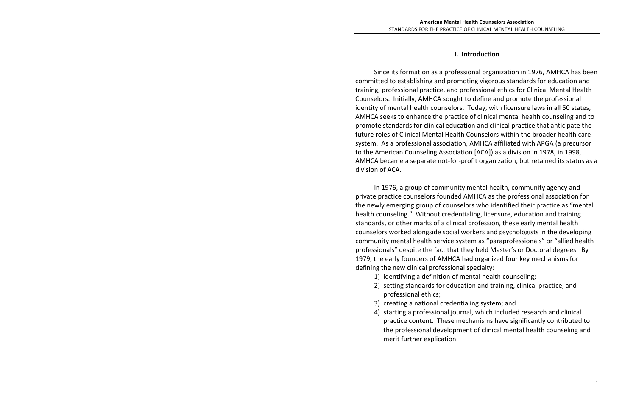Since its formation as a professional organization in 1976, AMHCA has been committed to establishing and promoting vigorous standards for education and training, professional practice, and professional ethics for Clinical Mental Health Counselors. Initially, AMHCA sought to define and promote the professional identity of mental health counselors. Today, with licensure laws in all 50 states, AMHCA seeks to enhance the practice of clinical mental health counseling and to promote standards for clinical education and clinical practice that anticipate the future roles of Clinical Mental Health Counselors within the broader health care system. As a professional association, AMHCA affiliated with APGA (a precursor to the American Counseling Association [ACA]) as a division in 1978; in 1998, AMHCA became a separate not-for-profit organization, but retained its status as a division of ACA.

In 1976, a group of community mental health, community agency and private practice counselors founded AMHCA as the professional association for the newly emerging group of counselors who identified their practice as "mental health counseling." Without credentialing, licensure, education and training standards, or other marks of a clinical profession, these early mental health counselors worked alongside social workers and psychologists in the developing community mental health service system as "paraprofessionals" or "allied health professionals" despite the fact that they held Master's or Doctoral degrees. By 1979, the early founders of AMHCA had organized four key mechanisms for defining the new clinical professional specialty:

- 1) identifying a definition of mental health counseling;
- professional ethics;
- 3) creating a national credentialing system; and
- merit further explication.

# **I. 

 Introduction**

2) setting standards for education and training, clinical practice, and

4) starting a professional journal, which included research and clinical practice content. These mechanisms have significantly contributed to the professional development of clinical mental health counseling and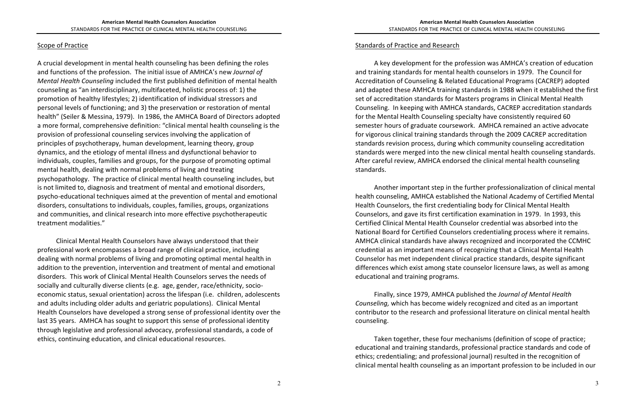#### Scope of Practice

A crucial development in mental health counseling has been defining the roles and functions of the profession. The initial issue of AMHCA's new *Journal of Mental Health Counseling* included the first published definition of mental health counseling as "an interdisciplinary, multifaceted, holistic process of: 1) the promotion of healthy lifestyles; 2) identification of individual stressors and personal levels of functioning; and 3) the preservation or restoration of mental health" (Seiler & Messina, 1979). In 1986, the AMHCA Board of Directors adopted a more formal, comprehensive definition: "clinical mental health counseling is the provision of professional counseling services involving the application of principles of psychotherapy, human development, learning theory, group dynamics, and the etiology of mental illness and dysfunctional behavior to individuals, couples, families and groups, for the purpose of promoting optimal mental health, dealing with normal problems of living and treating psychopathology. The practice of clinical mental health counseling includes, but is not limited to, diagnosis and treatment of mental and emotional disorders, psycho-educational techniques aimed at the prevention of mental and emotional disorders, consultations to individuals, couples, families, groups, organizations and communities, and clinical research into more effective psychotherapeutic treatment modalities."

Clinical Mental Health Counselors have always understood that their professional work encompasses a broad range of clinical practice, including dealing with normal problems of living and promoting optimal mental health in addition to the prevention, intervention and treatment of mental and emotional disorders. This work of Clinical Mental Health Counselors serves the needs of socially and culturally diverse clients (e.g. age, gender, race/ethnicity, socioeconomic status, sexual orientation) across the lifespan (i.e. children, adolescents and adults including older adults and geriatric populations). Clinical Mental Health Counselors have developed a strong sense of professional identity over the last 35 years. AMHCA has sought to support this sense of professional identity through legislative and professional advocacy, professional standards, a code of ethics, continuing education, and clinical educational resources.

#### Standards of Practice and Research

A key development for the profession was AMHCA's creation of education and training standards for mental health counselors in 1979. The Council for Accreditation of Counseling & Related Educational Programs (CACREP) adopted and adapted these AMHCA training standards in 1988 when it established the first set of accreditation standards for Masters programs in Clinical Mental Health Counseling. In keeping with AMHCA standards, CACREP accreditation standards for the Mental Health Counseling specialty have consistently required 60 semester hours of graduate coursework. AMHCA remained an active advocate for vigorous clinical training standards through the 2009 CACREP accreditation standards revision process, during which community counseling accreditation standards were merged into the new clinical mental health counseling standards. After careful review, AMHCA endorsed the clinical mental health counseling standards.

Another important step in the further professionalization of clinical mental health counseling, AMHCA established the National Academy of Certified Mental Health Counselors, the first credentialing body for Clinical Mental Health Counselors, and gave its first certification examination in 1979. In 1993, this Certified Clinical Mental Health Counselor credential was absorbed into the National Board for Certified Counselors credentialing process where it remains. AMHCA clinical standards have always recognized and incorporated the CCMHC credential as an important means of recognizing that a Clinical Mental Health Counselor has met independent clinical practice standards, despite significant differences which exist among state counselor licensure laws, as well as among educational and training programs.

Finally, since 1979, AMHCA published the *Journal of Mental Health* Counseling, which has become widely recognized and cited as an important contributor to the research and professional literature on clinical mental health counseling. 

Taken together, these four mechanisms (definition of scope of practice; educational and training standards, professional practice standards and code of ethics; credentialing; and professional journal) resulted in the recognition of clinical mental health counseling as an important profession to be included in our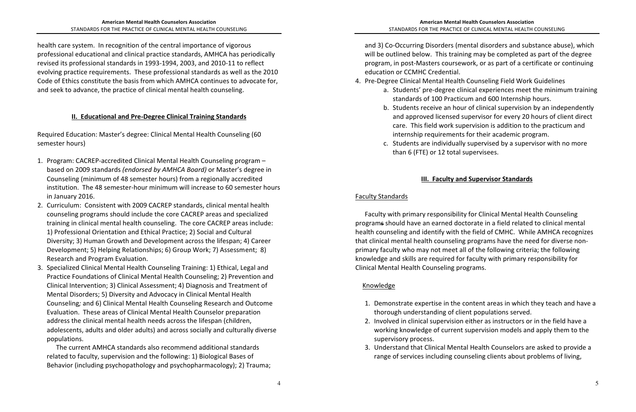health care system. In recognition of the central importance of vigorous professional educational and clinical practice standards, AMHCA has periodically revised its professional standards in 1993-1994, 2003, and 2010-11 to reflect evolving practice requirements. These professional standards as well as the 2010 Code of Ethics constitute the basis from which AMHCA continues to advocate for, and seek to advance, the practice of clinical mental health counseling.

### **II. Educational and Pre-Degree Clinical Training Standards**

Required Education: Master's degree: Clinical Mental Health Counseling (60 semester hours)

3. Understand that Clinical Mental Health Counselors are asked to provide a range of services including counseling clients about problems of living,

- 1. Program: CACREP-accredited Clinical Mental Health Counseling program based on 2009 standards (endorsed by AMHCA Board) or Master's degree in Counseling (minimum of 48 semester hours) from a regionally accredited institution. The 48 semester-hour minimum will increase to 60 semester hours in January 2016.
- 2. Curriculum: Consistent with 2009 CACREP standards, clinical mental health counseling programs should include the core CACREP areas and specialized training in clinical mental health counseling. The core CACREP areas include: 1) Professional Orientation and Ethical Practice; 2) Social and Cultural Diversity; 3) Human Growth and Development across the lifespan; 4) Career Development; 5) Helping Relationships; 6) Group Work; 7) Assessment; 8) Research and Program Evaluation.
- 3. Specialized Clinical Mental Health Counseling Training: 1) Ethical, Legal and Practice Foundations of Clinical Mental Health Counseling; 2) Prevention and Clinical Intervention; 3) Clinical Assessment; 4) Diagnosis and Treatment of Mental Disorders; 5) Diversity and Advocacy in Clinical Mental Health Counseling; and 6) Clinical Mental Health Counseling Research and Outcome Evaluation. These areas of Clinical Mental Health Counselor preparation address the clinical mental health needs across the lifespan (children, adolescents, adults and older adults) and across socially and culturally diverse populations.

The current AMHCA standards also recommend additional standards related to faculty, supervision and the following: 1) Biological Bases of Behavior (including psychopathology and psychopharmacology); 2) Trauma; and 3) Co-Occurring Disorders (mental disorders and substance abuse), which will be outlined below. This training may be completed as part of the degree program, in post-Masters coursework, or as part of a certificate or continuing education or CCMHC Credential.

- 4. Pre-Degree Clinical Mental Health Counseling Field Work Guidelines
	- a. Students' pre-degree clinical experiences meet the minimum training standards of 100 Practicum and 600 Internship hours.
	- b. Students receive an hour of clinical supervision by an independently and approved licensed supervisor for every 20 hours of client direct care. This field work supervision is addition to the practicum and internship requirements for their academic program.
	- c. Students are individually supervised by a supervisor with no more than 6 (FTE) or 12 total supervisees.

# **III. Faculty and Supervisor Standards**

#### **Faculty Standards**

Faculty with primary responsibility for Clinical Mental Health Counseling programs should have an earned doctorate in a field related to clinical mental health counseling and identify with the field of CMHC. While AMHCA recognizes that clinical mental health counseling programs have the need for diverse nonprimary faculty who may not meet all of the following criteria; the following knowledge and skills are required for faculty with primary responsibility for Clinical Mental Health Counseling programs.

# Knowledge

- 1. Demonstrate expertise in the content areas in which they teach and have a thorough understanding of client populations served.
- 2. Involved in clinical supervision either as instructors or in the field have a working knowledge of current supervision models and apply them to the supervisory process.
-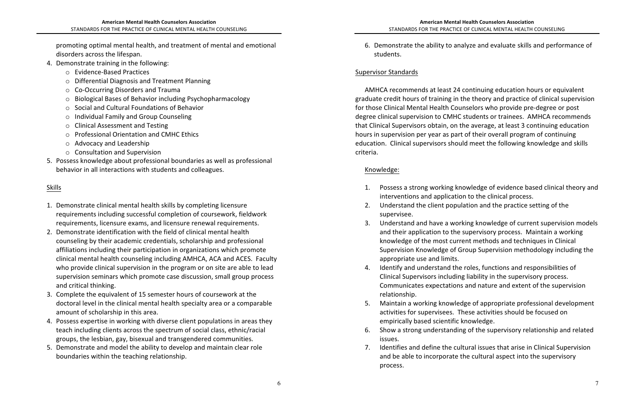promoting optimal mental health, and treatment of mental and emotional disorders across the lifespan.

- 4. Demonstrate training in the following:
	- Evidence-Based Practices
	- $\circ$  Differential Diagnosis and Treatment Planning
	- $\circ$  Co-Occurring Disorders and Trauma
	- $\circ$  Biological Bases of Behavior including Psychopharmacology
	- $\circ$  Social and Cultural Foundations of Behavior
	- $\circ$  Individual Family and Group Counseling
	- $\circ$  Clinical Assessment and Testing
	- o Professional Orientation and CMHC Ethics
	- o Advocacy and Leadership
	- $\circ$  Consultation and Supervision
- 5. Possess knowledge about professional boundaries as well as professional behavior in all interactions with students and colleagues.

# 6. Demonstrate the ability to analyze and evaluate skills and performance of

1. Possess a strong working knowledge of evidence based clinical theory and

3. Understand and have a working knowledge of current supervision models and their application to the supervisory process. Maintain a working knowledge of the most current methods and techniques in Clinical Supervision Knowledge of Group Supervision methodology including the

4. Identify and understand the roles, functions and responsibilities of Clinical Supervisors including liability in the supervisory process. Communicates expectations and nature and extent of the supervision

5. Maintain a working knowledge of appropriate professional development activities for supervisees. These activities should be focused on

6. Show a strong understanding of the supervisory relationship and related

7. Identifies and define the cultural issues that arise in Clinical Supervision and be able to incorporate the cultural aspect into the supervisory

# Skills

- 1. Demonstrate clinical mental health skills by completing licensure requirements including successful completion of coursework, fieldwork requirements, licensure exams, and licensure renewal requirements.
- 2. Demonstrate identification with the field of clinical mental health counseling by their academic credentials, scholarship and professional affiliations including their participation in organizations which promote clinical mental health counseling including AMHCA, ACA and ACES. Faculty who provide clinical supervision in the program or on site are able to lead supervision seminars which promote case discussion, small group process and critical thinking.
- 3. Complete the equivalent of 15 semester hours of coursework at the doctoral level in the clinical mental health specialty area or a comparable amount of scholarship in this area.
- 4. Possess expertise in working with diverse client populations in areas they teach including clients across the spectrum of social class, ethnic/racial groups, the lesbian, gay, bisexual and transgendered communities.
- 5. Demonstrate and model the ability to develop and maintain clear role boundaries within the teaching relationship.

AMHCA recommends at least 24 continuing education hours or equivalent graduate credit hours of training in the theory and practice of clinical supervision for those Clinical Mental Health Counselors who provide pre-degree or post degree clinical supervision to CMHC students or trainees. AMHCA recommends that Clinical Supervisors obtain, on the average, at least 3 continuing education hours in supervision per year as part of their overall program of continuing education. Clinical supervisors should meet the following knowledge and skills criteria.

- interventions and application to the clinical process.
- 2. Understand the client population and the practice setting of the supervisee.
- appropriate use and limits.
- relationship.
- empirically based scientific knowledge.
- issues.
- process.

students.

# Supervisor Standards

# Knowledge: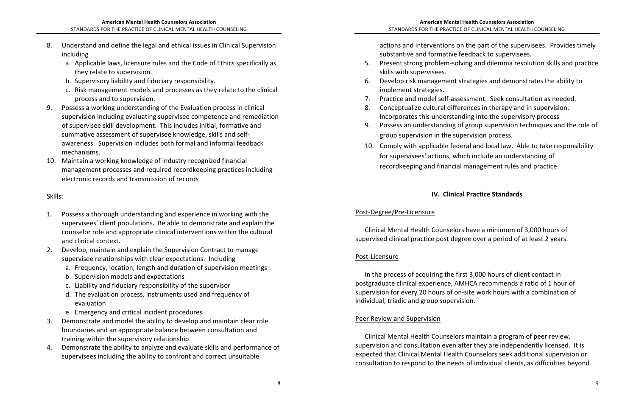- 8. Understand and define the legal and ethical issues in Clinical Supervision including
	- a. Applicable laws, licensure rules and the Code of Ethics specifically as they relate to supervision.
	- b. Supervisory liability and fiduciary responsibility.
	- c. Risk management models and processes as they relate to the clinical process and to supervision.
- 9. Possess a working understanding of the Evaluation process in clinical supervision including evaluating supervisee competence and remediation of supervisee skill development. This includes initial, formative and summative assessment of supervisee knowledge, skills and selfawareness. Supervision includes both formal and informal feedback mechanisms.
- 10. Maintain a working knowledge of industry recognized financial management processes and required recordkeeping practices including electronic records and transmission of records

actions and interventions on the part of the supervisees. Provides timely

6. Develop risk management strategies and demonstrates the ability to

# **IV. Clinical Practice Standards**

# Skills:

- 1. Possess a thorough understanding and experience in working with the supervisees' client populations. Be able to demonstrate and explain the counselor role and appropriate clinical interventions within the cultural and clinical context.
- 2. Develop, maintain and explain the Supervision Contract to manage supervisee relationships with clear expectations. Including
	- a. Frequency, location, length and duration of supervision meetings
	- b. Supervision models and expectations
	- c. Liability and fiduciary responsibility of the supervisor
	- d. The evaluation process, instruments used and frequency of evaluation
	- e. Emergency and critical incident procedures
- 3. Demonstrate and model the ability to develop and maintain clear role boundaries and an appropriate balance between consultation and training within the supervisory relationship.
- 4. Demonstrate the ability to analyze and evaluate skills and performance of supervisees including the ability to confront and correct unsuitable

substantive and formative feedback to supervisees.

- 5. Present strong problem-solving and dilemma resolution skills and practice skills with supervisees.
- implement strategies.
- 7. Practice and model self-assessment. Seek consultation as needed.
- 8. Conceptualize cultural differences in therapy and in supervision. Incorporates this understanding into the supervisory process
- 9. Possess an understanding of group supervision techniques and the role of group supervision in the supervision process.
- 10. Comply with applicable federal and local law. Able to take responsibility for supervisees' actions, which include an understanding of record keeping and financial management rules and practice.

# Post-Degree/Pre-Licensure

Clinical Mental Health Counselors have a minimum of 3,000 hours of supervised clinical practice post degree over a period of at least 2 years.

# Post-Licensure

In the process of acquiring the first 3,000 hours of client contact in postgraduate clinical experience, AMHCA recommends a ratio of 1 hour of supervision for every 20 hours of on-site work hours with a combination of individual, triadic and group supervision.

# Peer Review and Supervision

Clinical Mental Health Counselors maintain a program of peer review, supervision and consultation even after they are independently licensed. It is expected that Clinical Mental Health Counselors seek additional supervision or consultation to respond to the needs of individual clients, as difficulties beyond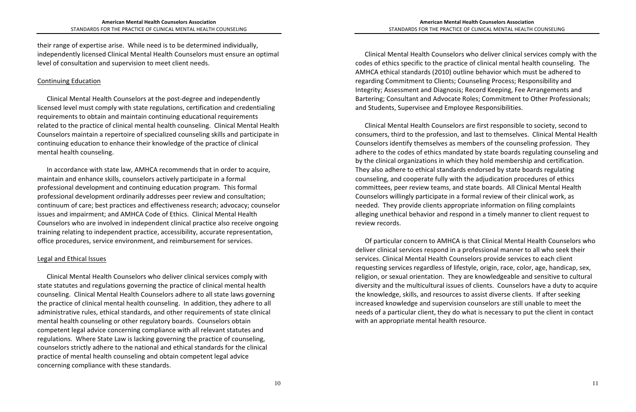their range of expertise arise. While need is to be determined individually, independently licensed Clinical Mental Health Counselors must ensure an optimal level of consultation and supervision to meet client needs.

#### Continuing Education

Clinical Mental Health Counselors at the post-degree and independently licensed level must comply with state regulations, certification and credentialing requirements to obtain and maintain continuing educational requirements related to the practice of clinical mental health counseling. Clinical Mental Health Counselors maintain a repertoire of specialized counseling skills and participate in continuing education to enhance their knowledge of the practice of clinical mental health counseling.

In accordance with state law, AMHCA recommends that in order to acquire, maintain and enhance skills, counselors actively participate in a formal professional development and continuing education program. This formal professional development ordinarily addresses peer review and consultation; continuum of care; best practices and effectiveness research; advocacy; counselor issues and impairment; and AMHCA Code of Ethics. Clinical Mental Health Counselors who are involved in independent clinical practice also receive ongoing training relating to independent practice, accessibility, accurate representation, office procedures, service environment, and reimbursement for services.

#### Legal and Ethical Issues

Clinical Mental Health Counselors who deliver clinical services comply with state statutes and regulations governing the practice of clinical mental health counseling. Clinical Mental Health Counselors adhere to all state laws governing the practice of clinical mental health counseling. In addition, they adhere to all administrative rules, ethical standards, and other requirements of state clinical mental health counseling or other regulatory boards. Counselors obtain competent legal advice concerning compliance with all relevant statutes and regulations. Where State Law is lacking governing the practice of counseling, counselors strictly adhere to the national and ethical standards for the clinical practice of mental health counseling and obtain competent legal advice concerning compliance with these standards.

Clinical Mental Health Counselors who deliver clinical services comply with the codes of ethics specific to the practice of clinical mental health counseling. The AMHCA ethical standards (2010) outline behavior which must be adhered to regarding Commitment to Clients; Counseling Process; Responsibility and Integrity; Assessment and Diagnosis; Record Keeping, Fee Arrangements and Bartering; Consultant and Advocate Roles; Commitment to Other Professionals; and Students, Supervisee and Employee Responsibilities.

Clinical Mental Health Counselors are first responsible to society, second to consumers, third to the profession, and last to themselves. Clinical Mental Health Counselors identify themselves as members of the counseling profession. They adhere to the codes of ethics mandated by state boards regulating counseling and by the clinical organizations in which they hold membership and certification. They also adhere to ethical standards endorsed by state boards regulating counseling, and cooperate fully with the adjudication procedures of ethics committees, peer review teams, and state boards. All Clinical Mental Health Counselors willingly participate in a formal review of their clinical work, as needed. They provide clients appropriate information on filing complaints alleging unethical behavior and respond in a timely manner to client request to review records.

Of particular concern to AMHCA is that Clinical Mental Health Counselors who deliver clinical services respond in a professional manner to all who seek their services. Clinical Mental Health Counselors provide services to each client requesting services regardless of lifestyle, origin, race, color, age, handicap, sex, religion, or sexual orientation. They are knowledgeable and sensitive to cultural diversity and the multicultural issues of clients. Counselors have a duty to acquire the knowledge, skills, and resources to assist diverse clients. If after seeking increased knowledge and supervision counselors are still unable to meet the needs of a particular client, they do what is necessary to put the client in contact with an appropriate mental health resource.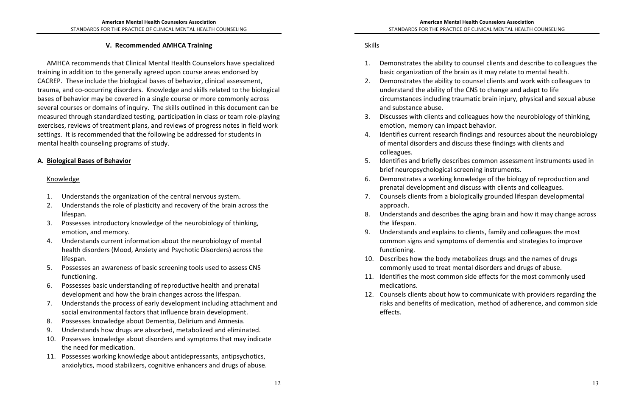### **V. Recommended AMHCA Training**

AMHCA recommends that Clinical Mental Health Counselors have specialized training in addition to the generally agreed upon course areas endorsed by CACREP. These include the biological bases of behavior, clinical assessment, trauma, and co-occurring disorders. Knowledge and skills related to the biological bases of behavior may be covered in a single course or more commonly across several courses or domains of inquiry. The skills outlined in this document can be measured through standardized testing, participation in class or team role-playing exercises, reviews of treatment plans, and reviews of progress notes in field work settings. It is recommended that the following be addressed for students in mental health counseling programs of study.

#### A. Biological Bases of Behavior

#### Knowledge

- 1. Understands the organization of the central nervous system.
- 2. Understands the role of plasticity and recovery of the brain across the lifespan.
- 3. Possesses introductory knowledge of the neurobiology of thinking, emotion, and memory.
- 4. Understands current information about the neurobiology of mental health disorders (Mood, Anxiety and Psychotic Disorders) across the lifespan.
- 5. Possesses an awareness of basic screening tools used to assess CNS functioning.
- 6. Possesses basic understanding of reproductive health and prenatal development and how the brain changes across the lifespan.
- 7. Understands the process of early development including attachment and social environmental factors that influence brain development.
- 8. Possesses knowledge about Dementia, Delirium and Amnesia.
- 9. Understands how drugs are absorbed, metabolized and eliminated.
- 10. Possesses knowledge about disorders and symptoms that may indicate the need for medication.
- 11. Possesses working knowledge about antidepressants, antipsychotics, anxiolytics, mood stabilizers, cognitive enhancers and drugs of abuse.
- 1. Demonstrates the ability to counsel clients and describe to colleagues the basic organization of the brain as it may relate to mental health.
- 2. Demonstrates the ability to counsel clients and work with colleagues to understand the ability of the CNS to change and adapt to life circumstances including traumatic brain injury, physical and sexual abuse and substance abuse.
- 3. Discusses with clients and colleagues how the neurobiology of thinking, emotion, memory can impact behavior.
- 4. Identifies current research findings and resources about the neurobiology of mental disorders and discuss these findings with clients and colleagues.
- 5. Identifies and briefly describes common assessment instruments used in brief neuropsychological screening instruments.
- 6. Demonstrates a working knowledge of the biology of reproduction and prenatal development and discuss with clients and colleagues.
- 7. Counsels clients from a biologically grounded lifespan developmental approach.
- 8. Understands and describes the aging brain and how it may change across the lifespan.
- 9. Understands and explains to clients, family and colleagues the most common signs and symptoms of dementia and strategies to improve functioning.
- 10. Describes how the body metabolizes drugs and the names of drugs commonly used to treat mental disorders and drugs of abuse. 11. Identifies the most common side effects for the most commonly used
- medications.
- 12. Counsels clients about how to communicate with providers regarding the risks and benefits of medication, method of adherence, and common side effects.

# Skills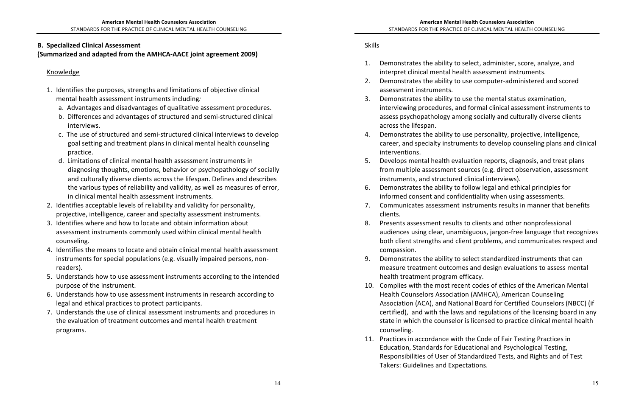### **B. Specialized Clinical Assessment**

#### (Summarized and adapted from the AMHCA-AACE joint agreement 2009)

1. Demonstrates the ability to select, administer, score, analyze, and 2. Demonstrates the ability to use computer-administered and scored

interviewing procedures, and formal clinical assessment instruments to assess psychopathology among socially and culturally diverse clients

4. Demonstrates the ability to use personality, projective, intelligence, career, and specialty instruments to develop counseling plans and clinical

5. Develops mental health evaluation reports, diagnosis, and treat plans from multiple assessment sources (e.g. direct observation, assessment

6. Demonstrates the ability to follow legal and ethical principles for

informed consent and confidentiality when using assessments.

7. Communicates assessment instruments results in manner that benefits

audiences using clear, unambiguous, jargon-free language that recognizes both client strengths and client problems, and communicates respect and

9. Demonstrates the ability to select standardized instruments that can measure treatment outcomes and design evaluations to assess mental

10. Complies with the most recent codes of ethics of the American Mental Health Counselors Association (AMHCA), American Counseling Association (ACA), and National Board for Certified Counselors (NBCC) (if certified), and with the laws and regulations of the licensing board in any state in which the counselor is licensed to practice clinical mental health

Education, Standards for Educational and Psychological Testing, Responsibilities of User of Standardized Tests, and Rights and of Test

#### Knowledge

- 1. Identifies the purposes, strengths and limitations of objective clinical mental health assessment instruments including:
	- a. Advantages and disadvantages of qualitative assessment procedures.
	- b. Differences and advantages of structured and semi-structured clinical interviews.
	- c. The use of structured and semi-structured clinical interviews to develop goal setting and treatment plans in clinical mental health counseling practice.
	- d. Limitations of clinical mental health assessment instruments in diagnosing thoughts, emotions, behavior or psychopathology of socially and culturally diverse clients across the lifespan. Defines and describes the various types of reliability and validity, as well as measures of error, in clinical mental health assessment instruments.
- 2. Identifies acceptable levels of reliability and validity for personality, projective, intelligence, career and specialty assessment instruments.
- 3. Identifies where and how to locate and obtain information about assessment instruments commonly used within clinical mental health counseling.
- 4. Identifies the means to locate and obtain clinical mental health assessment instruments for special populations (e.g. visually impaired persons, nonreaders).
- 5. Understands how to use assessment instruments according to the intended purpose of the instrument.
- 6. Understands how to use assessment instruments in research according to legal and ethical practices to protect participants.
- 7. Understands the use of clinical assessment instruments and procedures in the evaluation of treatment outcomes and mental health treatment programs.

# Skills

- interpret clinical mental health assessment instruments.
- assessment instruments.
- 3. Demonstrates the ability to use the mental status examination, across the lifespan.
- interventions.
- instruments, and structured clinical interviews).
- 
- clients.
- 8. Presents assessment results to clients and other nonprofessional compassion.
- health treatment program efficacy.
- counseling.
- 11. Practices in accordance with the Code of Fair Testing Practices in Takers: Guidelines and Expectations.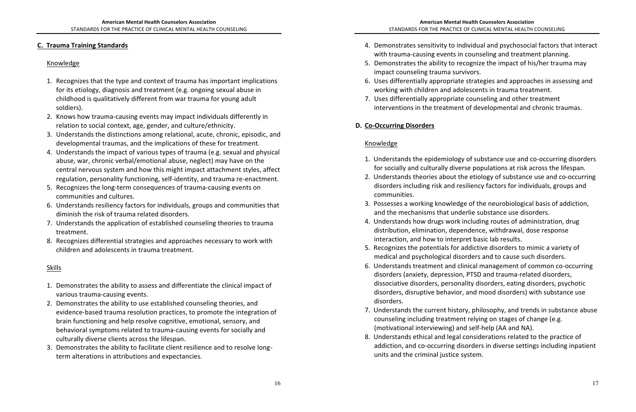### **C. Trauma Training Standards**

1. Understands the epidemiology of substance use and co-occurring disorders for socially and culturally diverse populations at risk across the lifespan. 2. Understands theories about the etiology of substance use and co-occurring disorders including risk and resiliency factors for individuals, groups and

### Knowledge

- 1. Recognizes that the type and context of trauma has important implications for its etiology, diagnosis and treatment (e.g. ongoing sexual abuse in childhood is qualitatively different from war trauma for young adult soldiers).
- 2. Knows how trauma-causing events may impact individuals differently in relation to social context, age, gender, and culture/ethnicity.
- 3. Understands the distinctions among relational, acute, chronic, episodic, and developmental traumas, and the implications of these for treatment.
- 4. Understands the impact of various types of trauma (e.g. sexual and physical abuse, war, chronic verbal/emotional abuse, neglect) may have on the central nervous system and how this might impact attachment styles, affect regulation, personality functioning, self-identity, and trauma re-enactment.
- 5. Recognizes the long-term consequences of trauma-causing events on communities and cultures.
- 6. Understands resiliency factors for individuals, groups and communities that diminish the risk of trauma related disorders.
- 7. Understands the application of established counseling theories to trauma treatment.
- 8. Recognizes differential strategies and approaches necessary to work with children and adolescents in trauma treatment.

# Skills

- 1. Demonstrates the ability to assess and differentiate the clinical impact of various trauma-causing events.
- 2. Demonstrates the ability to use established counseling theories, and evidence-based trauma resolution practices, to promote the integration of brain functioning and help resolve cognitive, emotional, sensory, and behavioral symptoms related to trauma-causing events for socially and culturally diverse clients across the lifespan.
- 3. Demonstrates the ability to facilitate client resilience and to resolve longterm alterations in attributions and expectancies.
- 4. Demonstrates sensitivity to individual and psychosocial factors that interact with trauma-causing events in counseling and treatment planning.
- 5. Demonstrates the ability to recognize the impact of his/her trauma may impact counseling trauma survivors.
- 6. Uses differentially appropriate strategies and approaches in assessing and working with children and adolescents in trauma treatment.
- 7. Uses differentially appropriate counseling and other treatment interventions in the treatment of developmental and chronic traumas.

# **D. Co-Occurring Disorders**

- 
- communities.
- 3. Possesses a working knowledge of the neurobiological basis of addiction, and the mechanisms that underlie substance use disorders.
- 4. Understands how drugs work including routes of administration, drug distribution, elimination, dependence, withdrawal, dose response interaction, and how to interpret basic lab results.
- 5. Recognizes the potentials for addictive disorders to mimic a variety of medical and psychological disorders and to cause such disorders.
- 6. Understands treatment and clinical management of common co-occurring disorders (anxiety, depression, PTSD and trauma-related disorders, dissociative disorders, personality disorders, eating disorders, psychotic disorders, disruptive behavior, and mood disorders) with substance use disorders.
- 7. Understands the current history, philosophy, and trends in substance abuse counseling including treatment relying on stages of change (e.g. (motivational interviewing) and self-help (AA and NA).
- 8. Understands ethical and legal considerations related to the practice of addiction, and co-occurring disorders in diverse settings including inpatient units and the criminal justice system.

# Knowledge